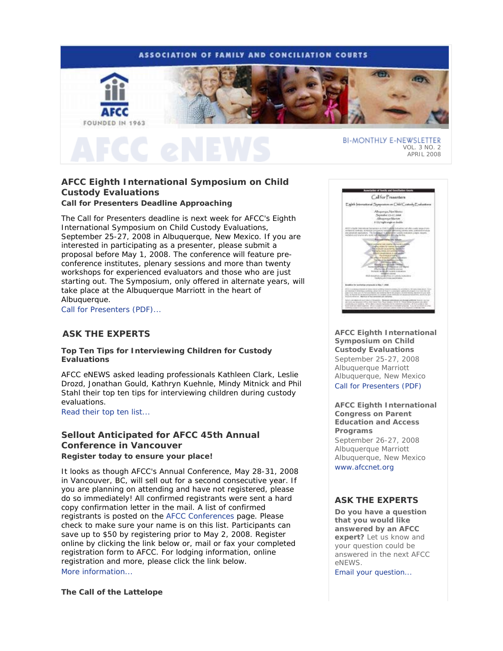# **ASSOCIATION OF FAMILY AND CONCILIATION COURTS**



VOL. 3 NO. 2 APRIL 2008

# **AFCC Eighth International Symposium on Child Custody Evaluations Call for Presenters Deadline Approaching**

The Call for Presenters deadline is next week for AFCC's *Eighth International Symposium on Child Custody Evaluations*, September 25-27, 2008 in Albuquerque, New Mexico. If you are interested in participating as a presenter, please submit a proposal before May 1, 2008. The conference will feature preconference institutes, plenary sessions and more than twenty workshops for experienced evaluators and those who are just starting out. The *Symposium*, only offered in alternate years, will take place at the Albuquerque Marriott in the heart of Albuquerque.

Call for Presenters (PDF)...

## **ASK THE EXPERTS**

**Top Ten Tips for Interviewing Children for Custody Evaluations**

*AFCC eNEWS* asked leading professionals Kathleen Clark, Leslie Drozd, Jonathan Gould, Kathryn Kuehnle, Mindy Mitnick and Phil Stahl their top ten tips for interviewing children during custody evaluations.

Read their top ten list...

# **Sellout Anticipated for AFCC 45th Annual Conference in Vancouver** *Register today to ensure your place!*

It looks as though AFCC's Annual Conference, May 28-31, 2008 in Vancouver, BC, will sell out for a second consecutive year. If you are planning on attending and have not registered, please do so immediately! All confirmed registrants were sent a hard copy confirmation letter in the mail. A list of confirmed registrants is posted on the AFCC Conferences page. Please check to make sure your name is on this list. Participants can save up to \$50 by registering prior to May 2, 2008. Register online by clicking the link below or, mail or fax your completed registration form to AFCC. For lodging information, online registration and more, please click the link below. More information...

**The Call of the Lattelope**



**AFCC Eighth International Symposium on Child Custody Evaluations**  September 25-27, 2008 Albuquerque Marriott Albuquerque, New Mexico Call for Presenters (PDF)

**AFCC Eighth International Congress on Parent Education and Access Programs** 

September 26-27, 2008 Albuquerque Marriott Albuquerque, New Mexico www.afccnet.org

## **ASK THE EXPERTS**

**Do you have a question that you would like answered by an AFCC expert?** Let us know and your question could be answered in the next *AFCC eNEWS*.

Email your question...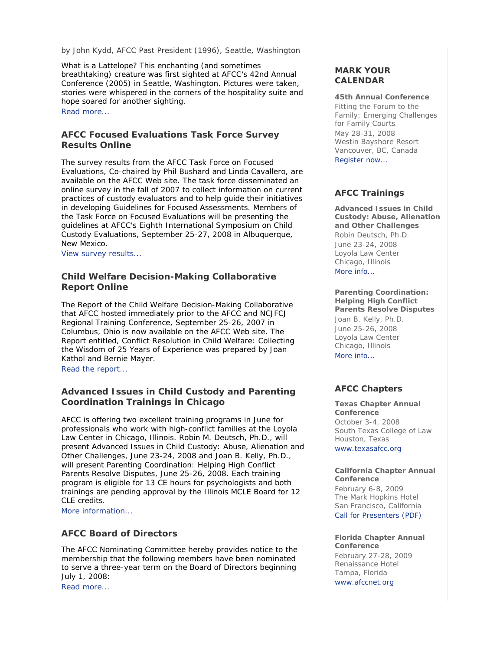## *by John Kydd, AFCC Past President (1996), Seattle, Washington*

*What is a Lattelope?* This enchanting (and sometimes breathtaking) creature was first sighted at AFCC's 42nd Annual Conference (2005) in Seattle, Washington. Pictures were taken, stories were whispered in the corners of the hospitality suite and hope soared for another sighting.

Read more...

# **AFCC Focused Evaluations Task Force Survey Results Online**

The survey results from the AFCC Task Force on Focused Evaluations, Co-chaired by Phil Bushard and Linda Cavallero, are available on the AFCC Web site. The task force disseminated an online survey in the fall of 2007 to collect information on current practices of custody evaluators and to help guide their initiatives in developing Guidelines for Focused Assessments. Members of the Task Force on Focused Evaluations will be presenting the guidelines at AFCC's *Eighth International Symposium on Child Custody Evaluations*, September 25-27, 2008 in Albuquerque, New Mexico.

View survey results...

# **Child Welfare Decision-Making Collaborative Report Online**

The Report of the Child Welfare Decision-Making Collaborative that AFCC hosted immediately prior to the AFCC and NCJFCJ Regional Training Conference, September 25-26, 2007 in Columbus, Ohio is now available on the AFCC Web site. The Report entitled, *Conflict Resolution in Child Welfare: Collecting the Wisdom of 25 Years of Experience* was prepared by Joan Kathol and Bernie Mayer.

Read the report...

# **Advanced Issues in Child Custody and Parenting Coordination Trainings in Chicago**

AFCC is offering two excellent training programs in June for professionals who work with high-conflict families at the Loyola Law Center in Chicago, Illinois. Robin M. Deutsch, Ph.D., will present *Advanced Issues in Child Custody: Abuse, Alienation and Other Challenges*, June 23-24, 2008 and Joan B. Kelly, Ph.D., will present *Parenting Coordination: Helping High Conflict Parents Resolve Disputes*, June 25-26, 2008. Each training program is eligible for 13 CE hours for psychologists and both trainings are pending approval by the Illinois MCLE Board for 12 CLE credits.

More information...

# **AFCC Board of Directors**

The AFCC Nominating Committee hereby provides notice to the membership that the following members have been nominated to serve a three-year term on the Board of Directors beginning July 1, 2008: Read more...

# **MARK YOUR CALENDAR**

### **45th Annual Conference**

*Fitting the Forum to the Family: Emerging Challenges for Family Courts* May 28-31, 2008 Westin Bayshore Resort Vancouver, BC, Canada Register now...

## **AFCC Trainings**

**Advanced Issues in Child Custody: Abuse, Alienation and Other Challenges** *Robin Deutsch, Ph.D.* June 23-24, 2008 Loyola Law Center Chicago, Illinois

More info...

## **Parenting Coordination: Helping High Conflict Parents Resolve Disputes**

*Joan B. Kelly, Ph.D.* June 25-26, 2008 Loyola Law Center Chicago, Illinois More info...

# **AFCC Chapters**

# **Texas Chapter Annual Conference** October 3-4, 2008 South Texas College of Law Houston, Texas

www.texasafcc.org

### **California Chapter Annual Conference**

February 6-8, 2009 The Mark Hopkins Hotel San Francisco, California Call for Presenters (PDF)

### **Florida Chapter Annual Conference**

February 27-28, 2009 Renaissance Hotel Tampa, Florida www.afccnet.org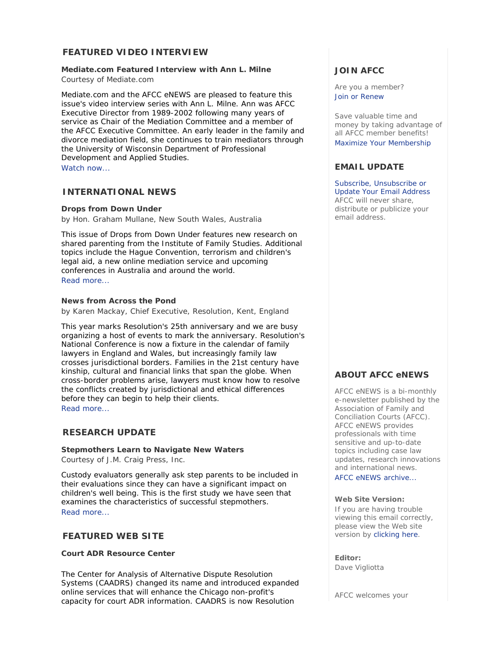# **FEATURED VIDEO INTERVIEW**

## **Mediate.com Featured Interview with Ann L. Milne**

*Courtesy of Mediate.com*

Mediate.com and the *AFCC eNEWS* are pleased to feature this issue's video interview series with Ann L. Milne. Ann was AFCC Executive Director from 1989-2002 following many years of service as Chair of the Mediation Committee and a member of the AFCC Executive Committee. An early leader in the family and divorce mediation field, she continues to train mediators through the University of Wisconsin Department of Professional Development and Applied Studies.

Watch now...

# **INTERNATIONAL NEWS**

### **Drops from Down Under**

*by Hon. Graham Mullane, New South Wales, Australia*

This issue of *Drops from Down Under* features new research on shared parenting from the Institute of Family Studies. Additional topics include the Hague Convention, terrorism and children's legal aid, a new online mediation service and upcoming conferences in Australia and around the world. Read more...

## **News from Across the Pond**

*by Karen Mackay, Chief Executive, Resolution, Kent, England*

This year marks Resolution's 25th anniversary and we are busy organizing a host of events to mark the anniversary. Resolution's National Conference is now a fixture in the calendar of family lawyers in England and Wales, but increasingly family law crosses jurisdictional borders. Families in the 21st century have kinship, cultural and financial links that span the globe. When cross-border problems arise, lawyers must know how to resolve the conflicts created by jurisdictional and ethical differences before they can begin to help their clients. Read more...

## **RESEARCH UPDATE**

**Stepmothers Learn to Navigate New Waters** *Courtesy of J.M. Craig Press, Inc.*

Custody evaluators generally ask step parents to be included in their evaluations since they can have a significant impact on children's well being. This is the first study we have seen that examines the characteristics of successful stepmothers. Read more...

## **FEATURED WEB SITE**

## **Court ADR Resource Center**

The Center for Analysis of Alternative Dispute Resolution Systems (CAADRS) changed its name and introduced expanded online services that will enhance the Chicago non-profit's capacity for court ADR information. CAADRS is now Resolution

# **JOIN AFCC**

Are you a member? Join or Renew

Save valuable time and money by taking advantage of all AFCC member benefits! Maximize Your Membership

## **EMAIL UPDATE**

Subscribe, Unsubscribe or Update Your Email Address AFCC will never share, distribute or publicize your email address.

# **ABOUT AFCC eNEWS**

*AFCC eNEWS* is a bi-monthly e-newsletter published by the Association of Family and Conciliation Courts (AFCC). *AFCC eNEWS* provides professionals with time sensitive and up-to-date topics including case law updates, research innovations and international news.

AFCC eNEWS archive...

## **Web Site Version:**

If you are having trouble viewing this email correctly, please view the Web site version by clicking here.

### **Editor:**

Dave Vigliotta

AFCC welcomes your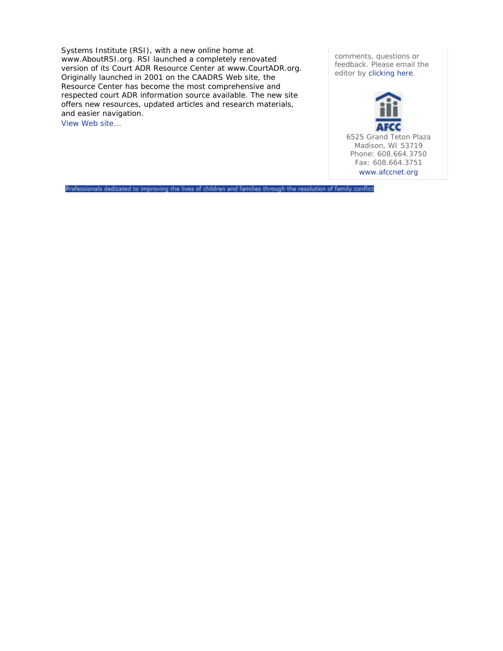Systems Institute (RSI), with a new online home at www.AboutRSI.org. RSI launched a completely renovated version of its Court ADR Resource Center at www.CourtADR.org. Originally launched in 2001 on the CAADRS Web site, the Resource Center has become the most comprehensive and respected court ADR information source available. The new site offers new resources, updated articles and research materials, and easier navigation.

View Web site...

comments, questions or feedback. Please email the editor by clicking here.



Professionals dedicated to improving the lives of children and families through the resolution of family conflict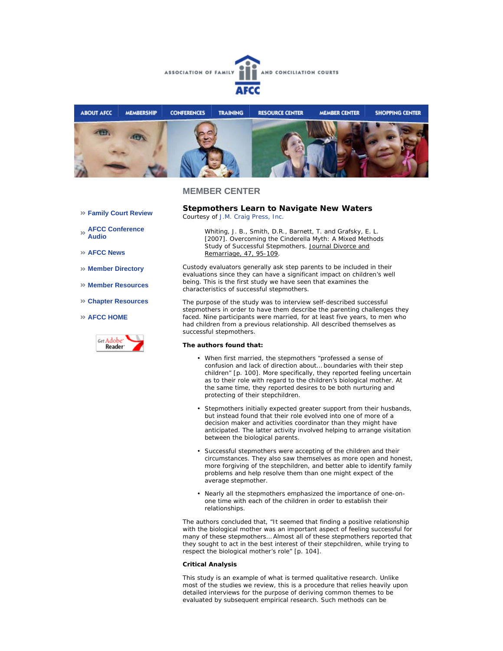



**Family Court Review** 

**AFCC Conference Audio** 

- **AFCC News**
- **Member Directory**
- **Member Resources**
- **Chapter Resources**
- **AFCC HOME**



**Stepmothers Learn to Navigate New Waters**  *Courtesy of J.M. Craig Press, Inc.*

Whiting, J. B., Smith, D.R., Barnett, T. and Grafsky, E. L. [2007]. Overcoming the Cinderella Myth: A Mixed Methods Study of Successful Stepmothers. Journal Divorce and Remarriage, 47, 95-109.

Custody evaluators generally ask step parents to be included in their evaluations since they can have a significant impact on children's well being. This is the first study we have seen that examines the characteristics of successful stepmothers.

The purpose of the study was to interview self-described successful stepmothers in order to have them describe the parenting challenges they faced. Nine participants were married, for at least five years, to men who had children from a previous relationship. All described themselves as successful stepmothers.

#### **The authors found that:**

- When first married, the stepmothers "professed a sense of confusion and lack of direction about… boundaries with their step children" [p. 100]. More specifically, they reported feeling uncertain as to their role with regard to the children's biological mother. At the same time, they reported desires to be both nurturing and protecting of their stepchildren.
- Stepmothers initially expected greater support from their husbands, but instead found that their role evolved into one of more of a decision maker and activities coordinator than they might have anticipated. The latter activity involved helping to arrange visitation between the biological parents. •
- Successful stepmothers were accepting of the children and their circumstances. They also saw themselves as more open and honest, more forgiving of the stepchildren, and better able to identify family problems and help resolve them than one might expect of the average stepmother. •
- Nearly all the stepmothers emphasized the importance of one-onone time with each of the children in order to establish their relationships. •

The authors concluded that, "It seemed that finding a positive relationship with the biological mother was an important aspect of feeling successful for many of these stepmothers… Almost all of these stepmothers reported that they sought to act in the best interest of their stepchildren, while trying to respect the biological mother's role" [p. 104].

#### **Critical Analysis**

This study is an example of what is termed qualitative research. Unlike most of the studies we review, this is a procedure that relies heavily upon detailed interviews for the purpose of deriving common themes to be evaluated by subsequent empirical research. Such methods can be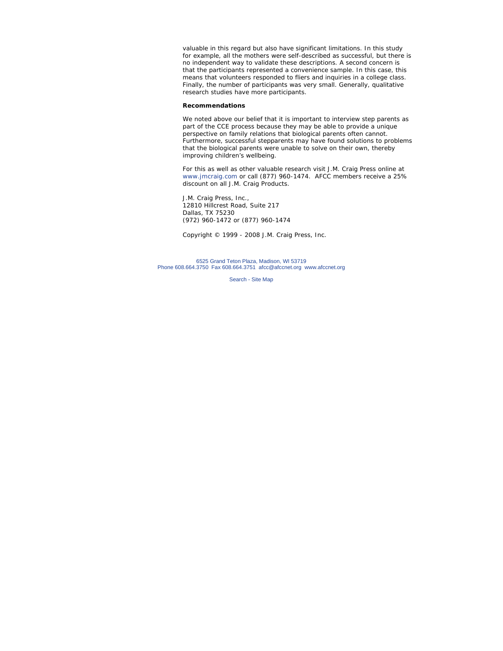valuable in this regard but also have significant limitations. In this study for example, all the mothers were self-described as successful, but there is no independent way to validate these descriptions. A second concern is that the participants represented a convenience sample. In this case, this means that volunteers responded to fliers and inquiries in a college class. Finally, the number of participants was very small. Generally, qualitative research studies have more participants.

#### **Recommendations**

We noted above our belief that it is important to interview step parents as part of the CCE process because they may be able to provide a unique perspective on family relations that biological parents often cannot. Furthermore, successful stepparents may have found solutions to problems that the biological parents were unable to solve on their own, thereby improving children's wellbeing.

*For this as well as other valuable research visit J.M. Craig Press online at www.jmcraig.com or call (877) 960-1474. AFCC members receive a 25% discount on all J.M. Craig Products.*

J.M. Craig Press, Inc., 12810 Hillcrest Road, Suite 217 Dallas, TX 75230 (972) 960-1472 or (877) 960-1474

*Copyright © 1999 - 2008 J.M. Craig Press, Inc.*

6525 Grand Teton Plaza, Madison, WI 53719 Phone 608.664.3750 Fax 608.664.3751 afcc@afccnet.org www.afccnet.org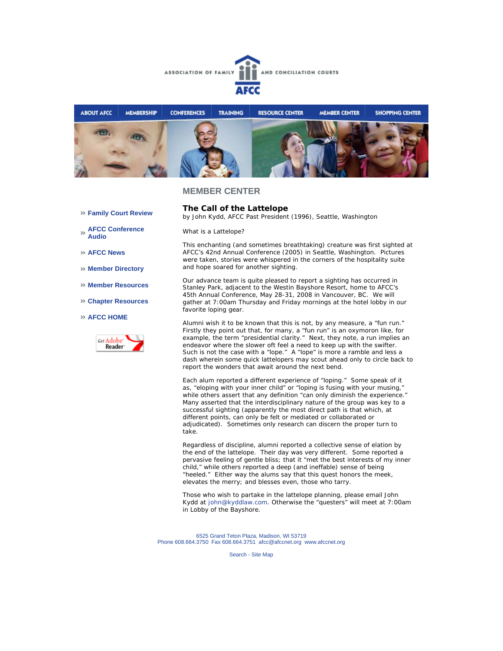



**Family Court Review** 

**AFCC Conference Audio** 

**AFCC News** 

**Member Directory** 

- **Member Resources**
- **Chapter Resources**

**AFCC HOME**



**The Call of the Lattelope**  *by John Kydd, AFCC Past President (1996), Seattle, Washington*

*What is a Lattelope?*

This enchanting (and sometimes breathtaking) creature was first sighted at AFCC's 42nd Annual Conference (2005) in Seattle, Washington. Pictures were taken, stories were whispered in the corners of the hospitality suite and hope soared for another sighting.

Our advance team is quite pleased to report a sighting has occurred in Stanley Park, adjacent to the Westin Bayshore Resort, home to AFCC's 45th Annual Conference, May 28-31, 2008 in Vancouver, BC. We will gather at 7:00am Thursday and Friday mornings at the hotel lobby in our favorite loping gear.

Alumni wish it to be known that this is not, by any measure, a "fun run." Firstly they point out that, for many, a "fun run" is an oxymoron like, for example, the term "presidential clarity." Next, they note, a run implies an endeavor where the slower oft feel a need to keep up with the swifter. Such is not the case with a "lope." A "lope" is more a ramble and less a dash wherein some quick lattelopers may scout ahead only to circle back to report the wonders that await around the next bend.

Each alum reported a different experience of "loping." Some speak of it as, "eloping with your inner child" or "loping is fusing with your musing," while others assert that any definition "can only diminish the experience." Many asserted that the interdisciplinary nature of the group was key to a successful sighting (apparently the most direct path is that which, at different points, can only be felt or mediated or collaborated or adjudicated). Sometimes only research can discern the proper turn to take.

Regardless of discipline, alumni reported a collective sense of elation by the end of the lattelope. Their day was very different. Some reported a pervasive feeling of gentle bliss; that it "met the best interests of my inner child," while others reported a deep (and ineffable) sense of being "heeled." Either way the alums say that this quest honors the meek, elevates the merry; and blesses even, those who tarry.

Those who wish to partake in the lattelope planning, please email John Kydd at john@kyddlaw.com. Otherwise the "questers" will meet at 7:00am in Lobby of the Bayshore.

6525 Grand Teton Plaza, Madison, WI 53719 Phone 608.664.3750 Fax 608.664.3751 afcc@afccnet.org www.afccnet.org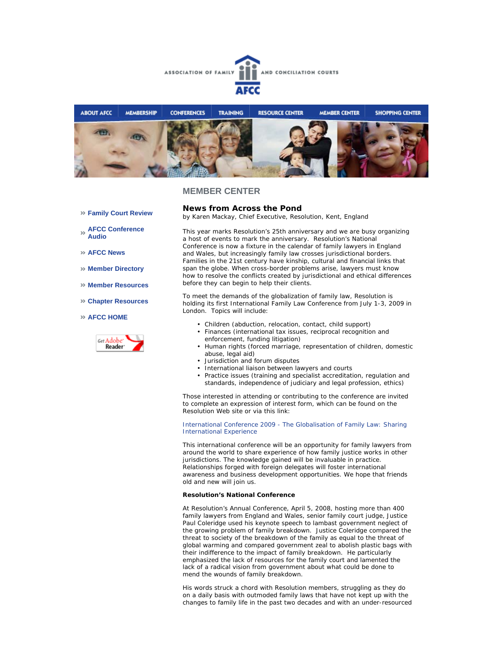



- **Family Court Review**
- **AFCC Conference Audio**
- **AFCC News**
- **Member Directory**
- **Member Resources**
- **Chapter Resources**

### **AFCC HOME**



**News from Across the Pond**  *by Karen Mackay, Chief Executive, Resolution, Kent, England*

This year marks Resolution's 25th anniversary and we are busy organizing a host of events to mark the anniversary. Resolution's National Conference is now a fixture in the calendar of family lawyers in England and Wales, but increasingly family law crosses jurisdictional borders. Families in the 21st century have kinship, cultural and financial links that span the globe. When cross-border problems arise, lawyers must know how to resolve the conflicts created by jurisdictional and ethical differences before they can begin to help their clients.

To meet the demands of the globalization of family law, Resolution is holding its first International Family Law Conference from July 1-3, 2009 in London. Topics will include:

- Children (abduction, relocation, contact, child support)
- Finances (international tax issues, reciprocal recognition and enforcement, funding litigation)
- Human rights (forced marriage, representation of children, domestic abuse, legal aid)
- Jurisdiction and forum disputes
- International liaison between lawyers and courts
- Practice issues (training and specialist accreditation, regulation and standards, independence of judiciary and legal profession, ethics)

Those interested in attending or contributing to the conference are invited to complete an expression of interest form, which can be found on the Resolution Web site or via this link:

International Conference 2009 - The Globalisation of Family Law: Sharing International Experience

This international conference will be an opportunity for family lawyers from around the world to share experience of how family justice works in other jurisdictions. The knowledge gained will be invaluable in practice. Relationships forged with foreign delegates will foster international awareness and business development opportunities. We hope that friends old and new will join us.

### **Resolution's National Conference**

At Resolution's Annual Conference, April 5, 2008, hosting more than 400 family lawyers from England and Wales, senior family court judge, Justice Paul Coleridge used his keynote speech to lambast government neglect of the growing problem of family breakdown. Justice Coleridge compared the threat to society of the breakdown of the family as equal to the threat of global warming and compared government zeal to abolish plastic bags with their indifference to the impact of family breakdown. He particularly emphasized the lack of resources for the family court and lamented the lack of a radical vision from government about what could be done to mend the wounds of family breakdown.

His words struck a chord with Resolution members, struggling as they do on a daily basis with outmoded family laws that have not kept up with the changes to family life in the past two decades and with an under-resourced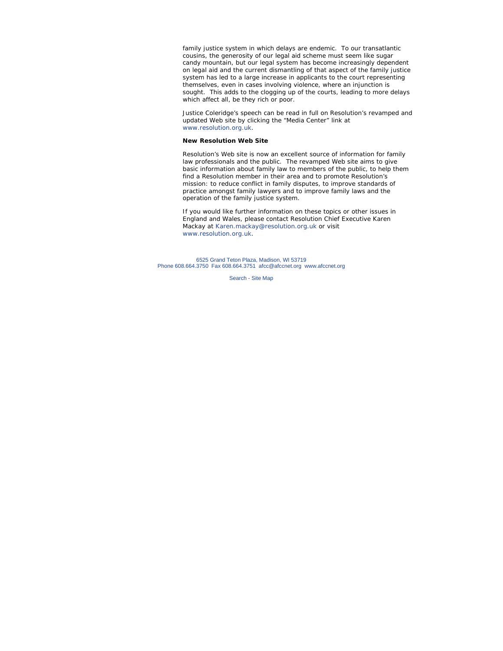family justice system in which delays are endemic. To our transatlantic cousins, the generosity of our legal aid scheme must seem like sugar candy mountain, but our legal system has become increasingly dependent on legal aid and the current dismantling of that aspect of the family justice system has led to a large increase in applicants to the court representing themselves, even in cases involving violence, where an injunction is sought. This adds to the clogging up of the courts, leading to more delays which affect all, be they rich or poor.

Justice Coleridge's speech can be read in full on Resolution's revamped and updated Web site by clicking the "Media Center" link at www.resolution.org.uk.

#### **New Resolution Web Site**

Resolution's Web site is now an excellent source of information for family law professionals and the public. The revamped Web site aims to give basic information about family law to members of the public, to help them find a Resolution member in their area and to promote Resolution's mission: to reduce conflict in family disputes, to improve standards of practice amongst family lawyers and to improve family laws and the operation of the family justice system.

*If you would like further information on these topics or other issues in England and Wales, please contact Resolution Chief Executive Karen Mackay at Karen.mackay@resolution.org.uk or visit www.resolution.org.uk.* 

6525 Grand Teton Plaza, Madison, WI 53719 Phone 608.664.3750 Fax 608.664.3751 afcc@afccnet.org www.afccnet.org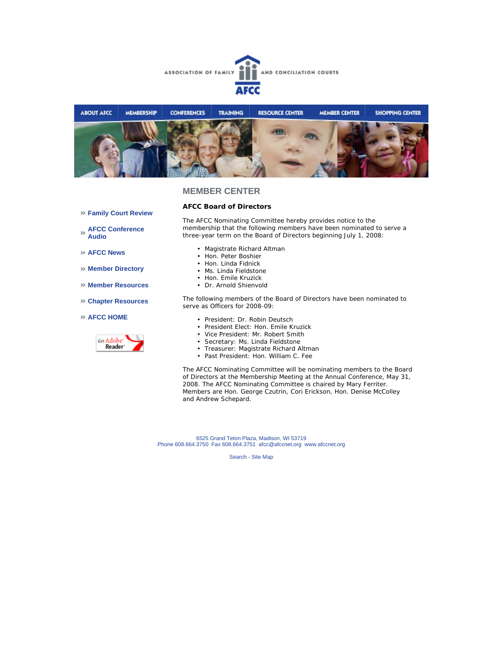



### **Family Court Review**

**AFCC Conference Audio** 

**AFCC News** 

- **Member Directory**
- **Member Resources**
- **Chapter Resources**

### **AFCC HOME**



**AFCC Board of Directors** 

The AFCC Nominating Committee hereby provides notice to the membership that the following members have been nominated to serve a three-year term on the Board of Directors beginning July 1, 2008:

- Magistrate Richard Altman
- Hon. Peter Boshier
- Hon. Linda Fidnick
- Ms. Linda Fieldstone
- Hon. Emile Kruzick
- Dr. Arnold Shienvold

The following members of the Board of Directors have been nominated to serve as Officers for 2008-09:

- President: Dr. Robin Deutsch
- President Elect: Hon. Emile Kruzick
- Vice President: Mr. Robert Smith
- Secretary: Ms. Linda Fieldstone
- Treasurer: Magistrate Richard Altman
- Past President: Hon. William C. Fee

The AFCC Nominating Committee will be nominating members to the Board of Directors at the Membership Meeting at the Annual Conference, May 31, 2008. The AFCC Nominating Committee is chaired by Mary Ferriter. Members are Hon. George Czutrin, Cori Erickson, Hon. Denise McColley and Andrew Schepard.

6525 Grand Teton Plaza, Madison, WI 53719 Phone 608.664.3750 Fax 608.664.3751 afcc@afccnet.org www.afccnet.org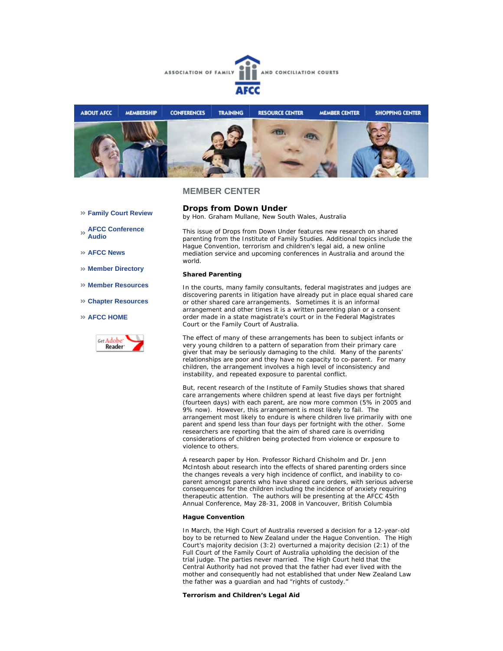



- **Family Court Review**
- **AFCC Conference Audio**
- **AFCC News**
- **Member Directory**
- **Member Resources**
- **Chapter Resources**
- **AFCC HOME**



**Drops from Down Under**  *by Hon. Graham Mullane, New South Wales, Australia*

This issue of *Drops from Down Under* features new research on shared parenting from the Institute of Family Studies. Additional topics include the Hague Convention, terrorism and children's legal aid, a new online mediation service and upcoming conferences in Australia and around the world.

#### **Shared Parenting**

In the courts, many family consultants, federal magistrates and judges are discovering parents in litigation have already put in place equal shared care or other shared care arrangements. Sometimes it is an informal arrangement and other times it is a written parenting plan or a consent order made in a state magistrate's court or in the Federal Magistrates Court or the Family Court of Australia.

The effect of many of these arrangements has been to subject infants or very young children to a pattern of separation from their primary care giver that may be seriously damaging to the child. Many of the parents' relationships are poor and they have no capacity to co-parent. For many children, the arrangement involves a high level of inconsistency and instability, and repeated exposure to parental conflict.

But, recent research of the Institute of Family Studies shows that shared care arrangements where children spend at least five days per fortnight (fourteen days) with each parent, are now more common (5% in 2005 and 9% now). However, this arrangement is most likely to fail. The arrangement most likely to endure is where children live primarily with one parent and spend less than four days per fortnight with the other. Some researchers are reporting that the aim of shared care is overriding considerations of children being protected from violence or exposure to violence to others.

A research paper by Hon. Professor Richard Chisholm and Dr. Jenn McIntosh about research into the effects of shared parenting orders since the changes reveals a very high incidence of conflict, and inability to coparent amongst parents who have shared care orders, with serious adverse consequences for the children including the incidence of anxiety requiring therapeutic attention. The authors will be presenting at the AFCC 45th Annual Conference, May 28-31, 2008 in Vancouver, British Columbia

### **Hague Convention**

In March, the High Court of Australia reversed a decision for a 12-year-old boy to be returned to New Zealand under the Hague Convention. The High Court's majority decision (3:2) overturned a majority decision (2:1) of the Full Court of the Family Court of Australia upholding the decision of the trial judge. The parties never married. The High Court held that the Central Authority had not proved that the father had ever lived with the mother and consequently had not established that under New Zealand Law the father was a guardian and had "rights of custody."

### **Terrorism and Children's Legal Aid**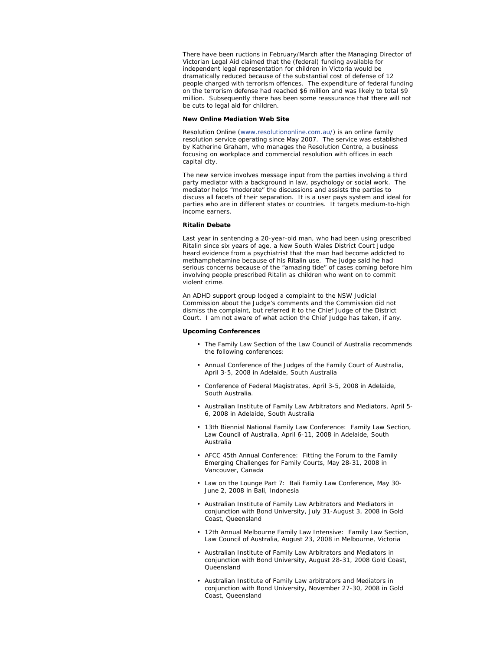There have been ructions in February/March after the Managing Director of Victorian Legal Aid claimed that the (federal) funding available for independent legal representation for children in Victoria would be dramatically reduced because of the substantial cost of defense of 12 people charged with terrorism offences. The expenditure of federal funding on the terrorism defense had reached \$6 million and was likely to total \$9 million. Subsequently there has been some reassurance that there will not be cuts to legal aid for children.

#### **New Online Mediation Web Site**

Resolution Online (www.resolutiononline.com.au/) is an online family resolution service operating since May 2007. The service was established by Katherine Graham, who manages the Resolution Centre, a business focusing on workplace and commercial resolution with offices in each capital city.

The new service involves message input from the parties involving a third party mediator with a background in law, psychology or social work. The mediator helps "moderate" the discussions and assists the parties to discuss all facets of their separation. It is a user pays system and ideal for parties who are in different states or countries. It targets medium-to-high income earners.

#### **Ritalin Debate**

Last year in sentencing a 20-year-old man, who had been using prescribed Ritalin since six years of age, a New South Wales District Court Judge heard evidence from a psychiatrist that the man had become addicted to methamphetamine because of his Ritalin use. The judge said he had serious concerns because of the "amazing tide" of cases coming before him involving people prescribed Ritalin as children who went on to commit violent crime.

An ADHD support group lodged a complaint to the NSW Judicial Commission about the Judge's comments and the Commission did not dismiss the complaint, but referred it to the Chief Judge of the District Court. I am not aware of what action the Chief Judge has taken, if any.

#### **Upcoming Conferences**

- The Family Law Section of the Law Council of Australia recommends the following conferences:
- Annual Conference of the Judges of the Family Court of Australia, April 3-5, 2008 in Adelaide, South Australia
- Conference of Federal Magistrates, April 3-5, 2008 in Adelaide, South Australia. •
- Australian Institute of Family Law Arbitrators and Mediators, April 5-6, 2008 in Adelaide, South Australia
- 13th Biennial National Family Law Conference: Family Law Section, Law Council of Australia, April 6-11, 2008 in Adelaide, South Australia
- AFCC 45th Annual Conference:Fitting the Forum to the Family Emerging Challenges for Family Courts, May 28-31, 2008 in Vancouver, Canada
- Law on the Lounge Part 7: Bali Family Law Conference, May 30-June 2, 2008 in Bali, Indonesia
- Australian Institute of Family Law Arbitrators and Mediators in conjunction with Bond University, July 31-August 3, 2008 in Gold Coast, Queensland
- 12th Annual Melbourne Family Law Intensive: Family Law Section, Law Council of Australia, August 23, 2008 in Melbourne, Victoria
- Australian Institute of Family Law Arbitrators and Mediators in conjunction with Bond University, August 28-31, 2008 Gold Coast, **Queensland**
- Australian Institute of Family Law arbitrators and Mediators in conjunction with Bond University, November 27-30, 2008 in Gold Coast, Queensland •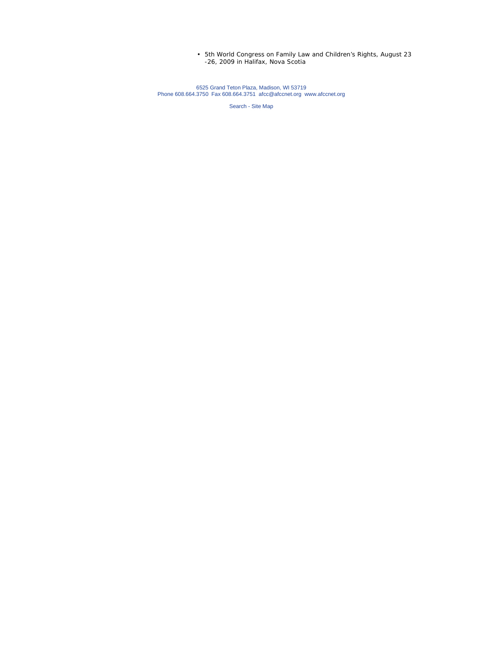5th World Congress on Family Law and Children's Rights, August 23 -26, 2009 in Halifax, Nova Scotia •

6525 Grand Teton Plaza, Madison, WI 53719 Phone 608.664.3750 Fax 608.664.3751 afcc@afccnet.org www.afccnet.org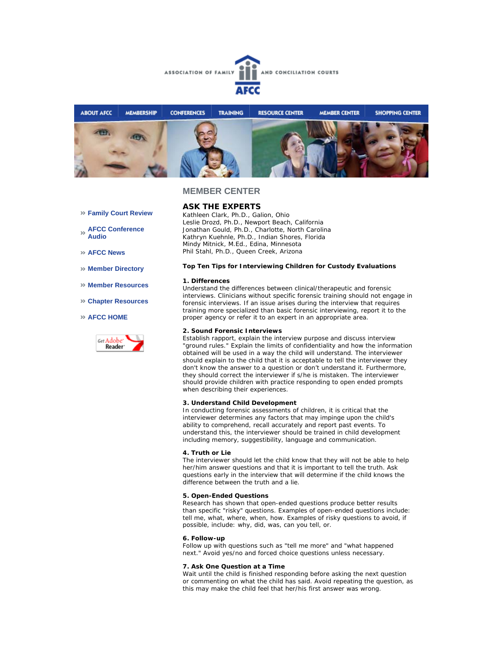



## **ASK THE EXPERTS**

*Kathleen Clark, Ph.D., Galion, Ohio Leslie Drozd, Ph.D., Newport Beach, California Jonathan Gould, Ph.D., Charlotte, North Carolina Kathryn Kuehnle, Ph.D., Indian Shores, Florida Mindy Mitnick, M.Ed., Edina, Minnesota Phil Stahl, Ph.D., Queen Creek, Arizona*

#### **Top Ten Tips for Interviewing Children for Custody Evaluations**

#### **1. Differences**

Understand the differences between clinical/therapeutic and forensic interviews. Clinicians without specific forensic training should not engage in forensic interviews. If an issue arises during the interview that requires training more specialized than basic forensic interviewing, report it to the proper agency or refer it to an expert in an appropriate area.

### **2. Sound Forensic Interviews**

Establish rapport, explain the interview purpose and discuss interview "ground rules." Explain the limits of confidentiality and how the information obtained will be used in a way the child will understand. The interviewer should explain to the child that it is acceptable to tell the interviewer they don't know the answer to a question or don't understand it. Furthermore, they should correct the interviewer if s/he is mistaken. The interviewer should provide children with practice responding to open ended prompts when describing their experiences.

#### **3. Understand Child Development**

In conducting forensic assessments of children, it is critical that the interviewer determines any factors that may impinge upon the child's ability to comprehend, recall accurately and report past events. To understand this, the interviewer should be trained in child development including memory, suggestibility, language and communication.

#### **4. Truth or Lie**

The interviewer should let the child know that they will not be able to help her/him answer questions and that it is important to tell the truth. Ask questions early in the interview that will determine if the child knows the difference between the truth and a lie.

#### **5. Open-Ended Questions**

Research has shown that open-ended questions produce better results than specific "risky" questions. Examples of open-ended questions include: tell me, what, where, when, how. Examples of risky questions to avoid, if possible, include: why, did, was, can you tell, or.

### **6. Follow-up**

Follow up with questions such as "tell me more" and "what happened next." Avoid yes/no and forced choice questions unless necessary.

### **7. Ask One Question at a Time**

Wait until the child is finished responding before asking the next question or commenting on what the child has said. Avoid repeating the question, as this may make the child feel that her/his first answer was wrong.

- **Family Court Review**
- **AFCC Conference Audio**
- **AFCC News**
- **Member Directory**
- **Member Resources**
- **Chapter Resources**

### **AFCC HOME**